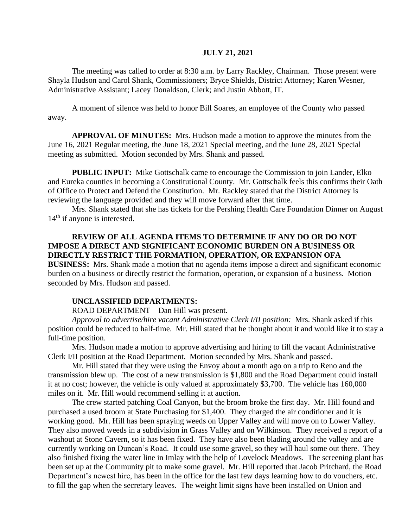## **JULY 21, 2021**

The meeting was called to order at 8:30 a.m. by Larry Rackley, Chairman. Those present were Shayla Hudson and Carol Shank, Commissioners; Bryce Shields, District Attorney; Karen Wesner, Administrative Assistant; Lacey Donaldson, Clerk; and Justin Abbott, IT.

A moment of silence was held to honor Bill Soares, an employee of the County who passed away.

**APPROVAL OF MINUTES:** Mrs. Hudson made a motion to approve the minutes from the June 16, 2021 Regular meeting, the June 18, 2021 Special meeting, and the June 28, 2021 Special meeting as submitted. Motion seconded by Mrs. Shank and passed.

**PUBLIC INPUT:** Mike Gottschalk came to encourage the Commission to join Lander, Elko and Eureka counties in becoming a Constitutional County. Mr. Gottschalk feels this confirms their Oath of Office to Protect and Defend the Constitution. Mr. Rackley stated that the District Attorney is reviewing the language provided and they will move forward after that time.

Mrs. Shank stated that she has tickets for the Pershing Health Care Foundation Dinner on August 14<sup>th</sup> if anyone is interested.

## **REVIEW OF ALL AGENDA ITEMS TO DETERMINE IF ANY DO OR DO NOT IMPOSE A DIRECT AND SIGNIFICANT ECONOMIC BURDEN ON A BUSINESS OR DIRECTLY RESTRICT THE FORMATION, OPERATION, OR EXPANSION OFA**

**BUSINESS:** Mrs. Shank made a motion that no agenda items impose a direct and significant economic burden on a business or directly restrict the formation, operation, or expansion of a business. Motion seconded by Mrs. Hudson and passed.

## **UNCLASSIFIED DEPARTMENTS:**

ROAD DEPARTMENT – Dan Hill was present.

*Approval to advertise/hire vacant Administrative Clerk I/II position:* Mrs. Shank asked if this position could be reduced to half-time. Mr. Hill stated that he thought about it and would like it to stay a full-time position.

Mrs. Hudson made a motion to approve advertising and hiring to fill the vacant Administrative Clerk I/II position at the Road Department. Motion seconded by Mrs. Shank and passed.

Mr. Hill stated that they were using the Envoy about a month ago on a trip to Reno and the transmission blew up. The cost of a new transmission is \$1,800 and the Road Department could install it at no cost; however, the vehicle is only valued at approximately \$3,700. The vehicle has 160,000 miles on it. Mr. Hill would recommend selling it at auction.

The crew started patching Coal Canyon, but the broom broke the first day. Mr. Hill found and purchased a used broom at State Purchasing for \$1,400. They charged the air conditioner and it is working good. Mr. Hill has been spraying weeds on Upper Valley and will move on to Lower Valley. They also mowed weeds in a subdivision in Grass Valley and on Wilkinson. They received a report of a washout at Stone Cavern, so it has been fixed. They have also been blading around the valley and are currently working on Duncan's Road. It could use some gravel, so they will haul some out there. They also finished fixing the water line in Imlay with the help of Lovelock Meadows. The screening plant has been set up at the Community pit to make some gravel. Mr. Hill reported that Jacob Pritchard, the Road Department's newest hire, has been in the office for the last few days learning how to do vouchers, etc. to fill the gap when the secretary leaves. The weight limit signs have been installed on Union and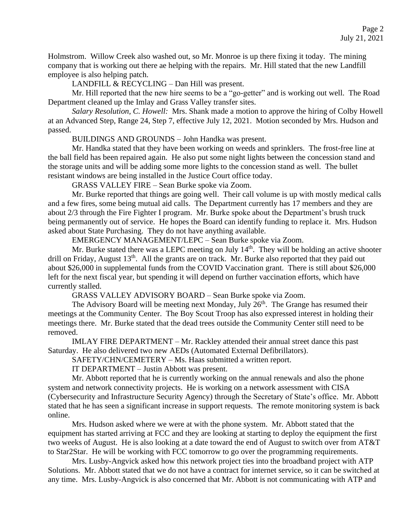Holmstrom. Willow Creek also washed out, so Mr. Monroe is up there fixing it today. The mining company that is working out there ae helping with the repairs. Mr. Hill stated that the new Landfill employee is also helping patch.

LANDFILL & RECYCLING – Dan Hill was present.

Mr. Hill reported that the new hire seems to be a "go-getter" and is working out well. The Road Department cleaned up the Imlay and Grass Valley transfer sites.

*Salary Resolution, C. Howell:* Mrs. Shank made a motion to approve the hiring of Colby Howell at an Advanced Step, Range 24, Step 7, effective July 12, 2021. Motion seconded by Mrs. Hudson and passed.

BUILDINGS AND GROUNDS – John Handka was present.

Mr. Handka stated that they have been working on weeds and sprinklers. The frost-free line at the ball field has been repaired again. He also put some night lights between the concession stand and the storage units and will be adding some more lights to the concession stand as well. The bullet resistant windows are being installed in the Justice Court office today.

GRASS VALLEY FIRE – Sean Burke spoke via Zoom.

Mr. Burke reported that things are going well. Their call volume is up with mostly medical calls and a few fires, some being mutual aid calls. The Department currently has 17 members and they are about 2/3 through the Fire Fighter I program. Mr. Burke spoke about the Department's brush truck being permanently out of service. He hopes the Board can identify funding to replace it. Mrs. Hudson asked about State Purchasing. They do not have anything available.

EMERGENCY MANAGEMENT/LEPC – Sean Burke spoke via Zoom.

Mr. Burke stated there was a LEPC meeting on July  $14<sup>th</sup>$ . They will be holding an active shooter drill on Friday, August 13<sup>th</sup>. All the grants are on track. Mr. Burke also reported that they paid out about \$26,000 in supplemental funds from the COVID Vaccination grant. There is still about \$26,000 left for the next fiscal year, but spending it will depend on further vaccination efforts, which have currently stalled.

GRASS VALLEY ADVISORY BOARD – Sean Burke spoke via Zoom.

The Advisory Board will be meeting next Monday, July 26<sup>th</sup>. The Grange has resumed their meetings at the Community Center. The Boy Scout Troop has also expressed interest in holding their meetings there. Mr. Burke stated that the dead trees outside the Community Center still need to be removed.

IMLAY FIRE DEPARTMENT – Mr. Rackley attended their annual street dance this past Saturday. He also delivered two new AEDs (Automated External Defibrillators).

SAFETY/CHN/CEMETERY – Ms. Haas submitted a written report.

IT DEPARTMENT – Justin Abbott was present.

Mr. Abbott reported that he is currently working on the annual renewals and also the phone system and network connectivity projects. He is working on a network assessment with CISA (Cybersecurity and Infrastructure Security Agency) through the Secretary of State's office. Mr. Abbott stated that he has seen a significant increase in support requests. The remote monitoring system is back online.

Mrs. Hudson asked where we were at with the phone system. Mr. Abbott stated that the equipment has started arriving at FCC and they are looking at starting to deploy the equipment the first two weeks of August. He is also looking at a date toward the end of August to switch over from AT&T to Star2Star. He will be working with FCC tomorrow to go over the programming requirements.

Mrs. Lusby-Angvick asked how this network project ties into the broadband project with ATP Solutions. Mr. Abbott stated that we do not have a contract for internet service, so it can be switched at any time. Mrs. Lusby-Angvick is also concerned that Mr. Abbott is not communicating with ATP and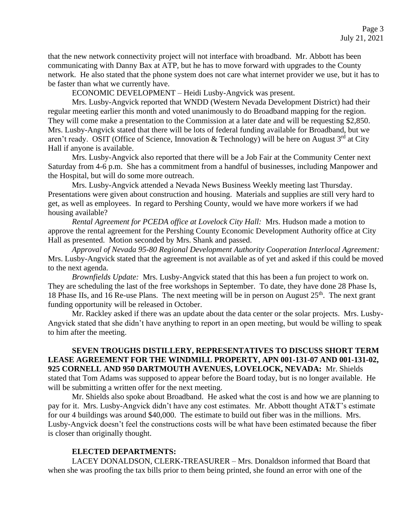that the new network connectivity project will not interface with broadband. Mr. Abbott has been communicating with Danny Bax at ATP, but he has to move forward with upgrades to the County network. He also stated that the phone system does not care what internet provider we use, but it has to be faster than what we currently have.

ECONOMIC DEVELOPMENT – Heidi Lusby-Angvick was present.

Mrs. Lusby-Angvick reported that WNDD (Western Nevada Development District) had their regular meeting earlier this month and voted unanimously to do Broadband mapping for the region. They will come make a presentation to the Commission at a later date and will be requesting \$2,850. Mrs. Lusby-Angvick stated that there will be lots of federal funding available for Broadband, but we aren't ready. OSIT (Office of Science, Innovation & Technology) will be here on August 3<sup>rd</sup> at City Hall if anyone is available.

Mrs. Lusby-Angvick also reported that there will be a Job Fair at the Community Center next Saturday from 4-6 p.m. She has a commitment from a handful of businesses, including Manpower and the Hospital, but will do some more outreach.

Mrs. Lusby-Angvick attended a Nevada News Business Weekly meeting last Thursday. Presentations were given about construction and housing. Materials and supplies are still very hard to get, as well as employees. In regard to Pershing County, would we have more workers if we had housing available?

*Rental Agreement for PCEDA office at Lovelock City Hall:* Mrs. Hudson made a motion to approve the rental agreement for the Pershing County Economic Development Authority office at City Hall as presented. Motion seconded by Mrs. Shank and passed.

*Approval of Nevada 95-80 Regional Development Authority Cooperation Interlocal Agreement:* Mrs. Lusby-Angvick stated that the agreement is not available as of yet and asked if this could be moved to the next agenda.

*Brownfields Update:* Mrs. Lusby-Angvick stated that this has been a fun project to work on. They are scheduling the last of the free workshops in September. To date, they have done 28 Phase Is, 18 Phase IIs, and 16 Re-use Plans. The next meeting will be in person on August  $25<sup>th</sup>$ . The next grant funding opportunity will be released in October.

Mr. Rackley asked if there was an update about the data center or the solar projects. Mrs. Lusby-Angvick stated that she didn't have anything to report in an open meeting, but would be willing to speak to him after the meeting.

**SEVEN TROUGHS DISTILLERY, REPRESENTATIVES TO DISCUSS SHORT TERM LEASE AGREEMENT FOR THE WINDMILL PROPERTY, APN 001-131-07 AND 001-131-02, 925 CORNELL AND 950 DARTMOUTH AVENUES, LOVELOCK, NEVADA:** Mr. Shields stated that Tom Adams was supposed to appear before the Board today, but is no longer available. He will be submitting a written offer for the next meeting.

Mr. Shields also spoke about Broadband. He asked what the cost is and how we are planning to pay for it. Mrs. Lusby-Angvick didn't have any cost estimates. Mr. Abbott thought AT&T's estimate for our 4 buildings was around \$40,000. The estimate to build out fiber was in the millions. Mrs. Lusby-Angvick doesn't feel the constructions costs will be what have been estimated because the fiber is closer than originally thought.

## **ELECTED DEPARTMENTS:**

LACEY DONALDSON, CLERK-TREASURER – Mrs. Donaldson informed that Board that when she was proofing the tax bills prior to them being printed, she found an error with one of the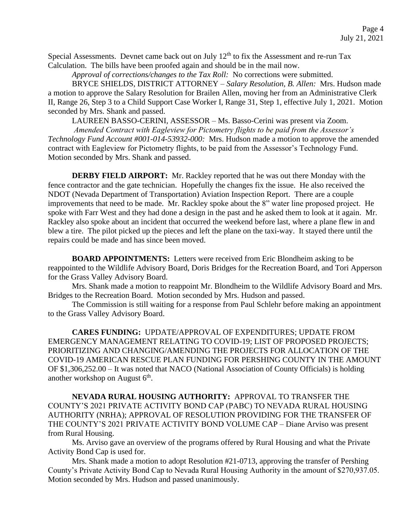Special Assessments. Devnet came back out on July  $12<sup>th</sup>$  to fix the Assessment and re-run Tax Calculation. The bills have been proofed again and should be in the mail now.

*Approval of corrections/changes to the Tax Roll:* No corrections were submitted.

BRYCE SHIELDS, DISTRICT ATTORNEY – *Salary Resolution, B. Allen:* Mrs. Hudson made a motion to approve the Salary Resolution for Brailen Allen, moving her from an Administrative Clerk II, Range 26, Step 3 to a Child Support Case Worker I, Range 31, Step 1, effective July 1, 2021. Motion seconded by Mrs. Shank and passed.

LAUREEN BASSO-CERINI, ASSESSOR – Ms. Basso-Cerini was present via Zoom.

*Amended Contract with Eagleview for Pictometry flights to be paid from the Assessor's Technology Fund Account #001-014-53932-000:* Mrs. Hudson made a motion to approve the amended contract with Eagleview for Pictometry flights, to be paid from the Assessor's Technology Fund. Motion seconded by Mrs. Shank and passed.

**DERBY FIELD AIRPORT:** Mr. Rackley reported that he was out there Monday with the fence contractor and the gate technician. Hopefully the changes fix the issue. He also received the NDOT (Nevada Department of Transportation) Aviation Inspection Report. There are a couple improvements that need to be made. Mr. Rackley spoke about the 8" water line proposed project. He spoke with Farr West and they had done a design in the past and he asked them to look at it again. Mr. Rackley also spoke about an incident that occurred the weekend before last, where a plane flew in and blew a tire. The pilot picked up the pieces and left the plane on the taxi-way. It stayed there until the repairs could be made and has since been moved.

**BOARD APPOINTMENTS:** Letters were received from Eric Blondheim asking to be reappointed to the Wildlife Advisory Board, Doris Bridges for the Recreation Board, and Tori Apperson for the Grass Valley Advisory Board.

Mrs. Shank made a motion to reappoint Mr. Blondheim to the Wildlife Advisory Board and Mrs. Bridges to the Recreation Board. Motion seconded by Mrs. Hudson and passed.

The Commission is still waiting for a response from Paul Schlehr before making an appointment to the Grass Valley Advisory Board.

**CARES FUNDING:** UPDATE/APPROVAL OF EXPENDITURES; UPDATE FROM EMERGENCY MANAGEMENT RELATING TO COVID-19; LIST OF PROPOSED PROJECTS; PRIORITIZING AND CHANGING/AMENDING THE PROJECTS FOR ALLOCATION OF THE COVID-19 AMERICAN RESCUE PLAN FUNDING FOR PERSHING COUNTY IN THE AMOUNT OF \$1,306,252.00 – It was noted that NACO (National Association of County Officials) is holding another workshop on August  $6<sup>th</sup>$ .

**NEVADA RURAL HOUSING AUTHORITY:** APPROVAL TO TRANSFER THE COUNTY'S 2021 PRIVATE ACTIVITY BOND CAP (PABC) TO NEVADA RURAL HOUSING AUTHORITY (NRHA); APPROVAL OF RESOLUTION PROVIDING FOR THE TRANSFER OF THE COUNTY'S 2021 PRIVATE ACTIVITY BOND VOLUME CAP – Diane Arviso was present from Rural Housing.

Ms. Arviso gave an overview of the programs offered by Rural Housing and what the Private Activity Bond Cap is used for.

Mrs. Shank made a motion to adopt Resolution #21-0713, approving the transfer of Pershing County's Private Activity Bond Cap to Nevada Rural Housing Authority in the amount of \$270,937.05. Motion seconded by Mrs. Hudson and passed unanimously.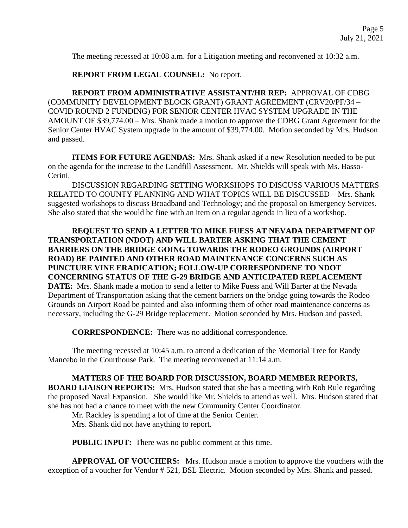The meeting recessed at 10:08 a.m. for a Litigation meeting and reconvened at 10:32 a.m.

**REPORT FROM LEGAL COUNSEL:** No report.

**REPORT FROM ADMINISTRATIVE ASSISTANT/HR REP:** APPROVAL OF CDBG (COMMUNITY DEVELOPMENT BLOCK GRANT) GRANT AGREEMENT (CRV20/PF/34 – COVID ROUND 2 FUNDING) FOR SENIOR CENTER HVAC SYSTEM UPGRADE IN THE AMOUNT OF \$39,774.00 – Mrs. Shank made a motion to approve the CDBG Grant Agreement for the Senior Center HVAC System upgrade in the amount of \$39,774.00. Motion seconded by Mrs. Hudson and passed.

**ITEMS FOR FUTURE AGENDAS:** Mrs. Shank asked if a new Resolution needed to be put on the agenda for the increase to the Landfill Assessment. Mr. Shields will speak with Ms. Basso-Cerini.

DISCUSSION REGARDING SETTING WORKSHOPS TO DISCUSS VARIOUS MATTERS RELATED TO COUNTY PLANNING AND WHAT TOPICS WILL BE DISCUSSED – Mrs. Shank suggested workshops to discuss Broadband and Technology; and the proposal on Emergency Services. She also stated that she would be fine with an item on a regular agenda in lieu of a workshop.

**REQUEST TO SEND A LETTER TO MIKE FUESS AT NEVADA DEPARTMENT OF TRANSPORTATION (NDOT) AND WILL BARTER ASKING THAT THE CEMENT BARRIERS ON THE BRIDGE GOING TOWARDS THE RODEO GROUNDS (AIRPORT ROAD) BE PAINTED AND OTHER ROAD MAINTENANCE CONCERNS SUCH AS PUNCTURE VINE ERADICATION; FOLLOW-UP CORRESPONDENE TO NDOT CONCERNING STATUS OF THE G-29 BRIDGE AND ANTICIPATED REPLACEMENT DATE:** Mrs. Shank made a motion to send a letter to Mike Fuess and Will Barter at the Nevada Department of Transportation asking that the cement barriers on the bridge going towards the Rodeo Grounds on Airport Road be painted and also informing them of other road maintenance concerns as necessary, including the G-29 Bridge replacement. Motion seconded by Mrs. Hudson and passed.

**CORRESPONDENCE:** There was no additional correspondence.

The meeting recessed at 10:45 a.m. to attend a dedication of the Memorial Tree for Randy Mancebo in the Courthouse Park. The meeting reconvened at 11:14 a.m.

**MATTERS OF THE BOARD FOR DISCUSSION, BOARD MEMBER REPORTS, BOARD LIAISON REPORTS:** Mrs. Hudson stated that she has a meeting with Rob Rule regarding the proposed Naval Expansion. She would like Mr. Shields to attend as well. Mrs. Hudson stated that she has not had a chance to meet with the new Community Center Coordinator.

Mr. Rackley is spending a lot of time at the Senior Center.

Mrs. Shank did not have anything to report.

**PUBLIC INPUT:** There was no public comment at this time.

**APPROVAL OF VOUCHERS:** Mrs. Hudson made a motion to approve the vouchers with the exception of a voucher for Vendor # 521, BSL Electric. Motion seconded by Mrs. Shank and passed.